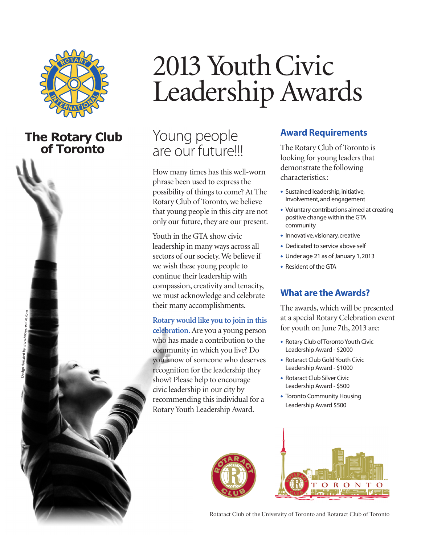

## **The Rotary Club** of Toronto



# 2013 Youth Civic Leadership Awards

# Young people are our future!!!

How many times has this well-worn phrase been used to express the possibility of things to come? At The Rotary Club of Toronto, we believe that young people in this city are not only our future, they are our present.

Youth in the GTA show civic leadership in many ways across all sectors of our society. We believe if we wish these young people to continue their leadership with compassion, creativity and tenacity, we must acknowledge and celebrate their many accomplishments.

Rotary would like you to join in this celebration. Are you a young person who has made a contribution to the community in which you live? Do you know of someone who deserves recognition for the leadership they show? Please help to encourage civic leadership in our city by recommending this individual for a Rotary Youth Leadership Award.

### **Award Requirements**

The Rotary Club of Toronto is looking for young leaders that demonstrate the following characteristics.:

- ◆ Sustained leadership, initiative, Involvement, and engagement
- Voluntary contributions aimed at creating positive change within the GTA community
- Innovative, visionary, creative
- Dedicated to service above self
- ◆ Under age 21 as of January 1, 2013
- ◆ Resident of the GTA

#### **What are the Awards?**

The awards, which will be presented at a special Rotary Celebration event for youth on June 7th, 2013 are:

- Rotary Club of Toronto Youth Civic Leadership Award - \$2000
- ◆ Rotaract Club Gold Youth Civic Leadership Award - \$1000
- ◆ Rotaract Club Silver Civic Leadership Award - \$500
- Toronto Community Housing Leadership Award \$500



Rotaract Club of the University of Toronto and Rotaract Club of Toronto